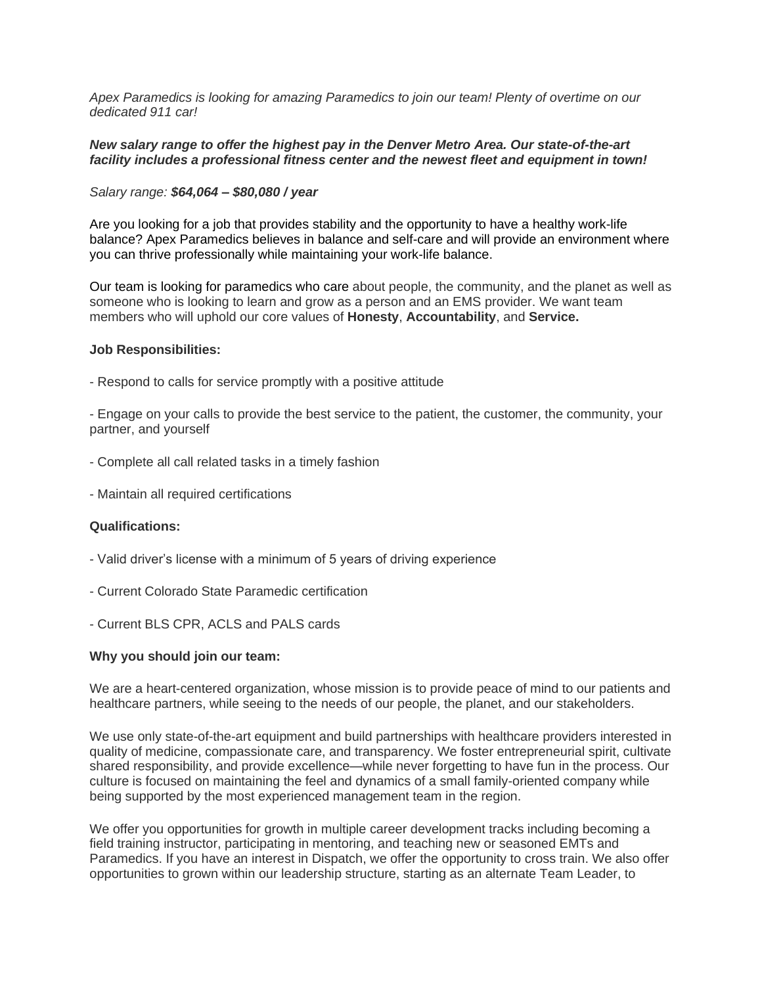*Apex Paramedics is looking for amazing Paramedics to join our team! Plenty of overtime on our dedicated 911 car!*

### *New salary range to offer the highest pay in the Denver Metro Area. Our state-of-the-art facility includes a professional fitness center and the newest fleet and equipment in town!*

### *Salary range: \$64,064 – \$80,080 / year*

Are you looking for a job that provides stability and the opportunity to have a healthy work-life balance? Apex Paramedics believes in balance and self-care and will provide an environment where you can thrive professionally while maintaining your work-life balance.

Our team is looking for paramedics who care about people, the community, and the planet as well as someone who is looking to learn and grow as a person and an EMS provider. We want team members who will uphold our core values of **Honesty**, **Accountability**, and **Service.**

#### **Job Responsibilities:**

- Respond to calls for service promptly with a positive attitude

- Engage on your calls to provide the best service to the patient, the customer, the community, your partner, and yourself

- Complete all call related tasks in a timely fashion
- Maintain all required certifications

#### **Qualifications:**

- Valid driver's license with a minimum of 5 years of driving experience
- Current Colorado State Paramedic certification
- Current BLS CPR, ACLS and PALS cards

## **Why you should join our team:**

We are a heart-centered organization, whose mission is to provide peace of mind to our patients and healthcare partners, while seeing to the needs of our people, the planet, and our stakeholders.

We use only state-of-the-art equipment and build partnerships with healthcare providers interested in quality of medicine, compassionate care, and transparency. We foster entrepreneurial spirit, cultivate shared responsibility, and provide excellence—while never forgetting to have fun in the process. Our culture is focused on maintaining the feel and dynamics of a small family-oriented company while being supported by the most experienced management team in the region.

We offer you opportunities for growth in multiple career development tracks including becoming a field training instructor, participating in mentoring, and teaching new or seasoned EMTs and Paramedics. If you have an interest in Dispatch, we offer the opportunity to cross train. We also offer opportunities to grown within our leadership structure, starting as an alternate Team Leader, to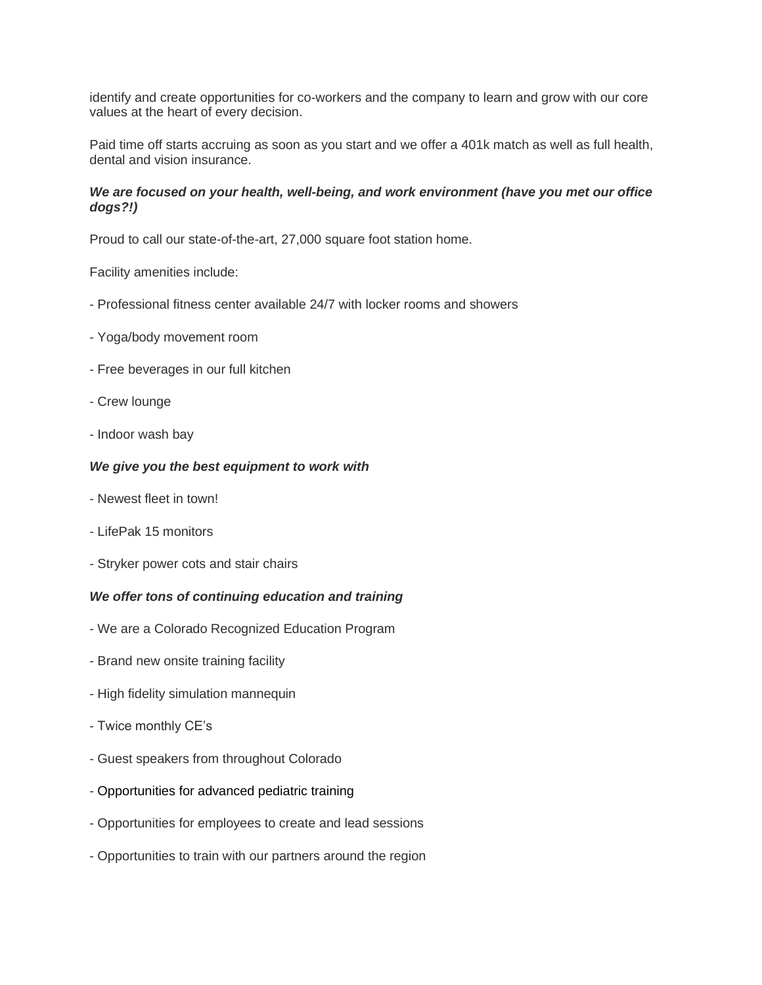identify and create opportunities for co-workers and the company to learn and grow with our core values at the heart of every decision.

Paid time off starts accruing as soon as you start and we offer a 401k match as well as full health, dental and vision insurance.

## *We are focused on your health, well-being, and work environment (have you met our office dogs?!)*

Proud to call our state-of-the-art, 27,000 square foot station home.

Facility amenities include:

- Professional fitness center available 24/7 with locker rooms and showers
- Yoga/body movement room
- Free beverages in our full kitchen
- Crew lounge
- Indoor wash bay

### *We give you the best equipment to work with*

- Newest fleet in town!
- LifePak 15 monitors
- Stryker power cots and stair chairs

## *We offer tons of continuing education and training*

- We are a Colorado Recognized Education Program
- Brand new onsite training facility
- High fidelity simulation mannequin
- Twice monthly CE's
- Guest speakers from throughout Colorado
- Opportunities for advanced pediatric training
- Opportunities for employees to create and lead sessions
- Opportunities to train with our partners around the region